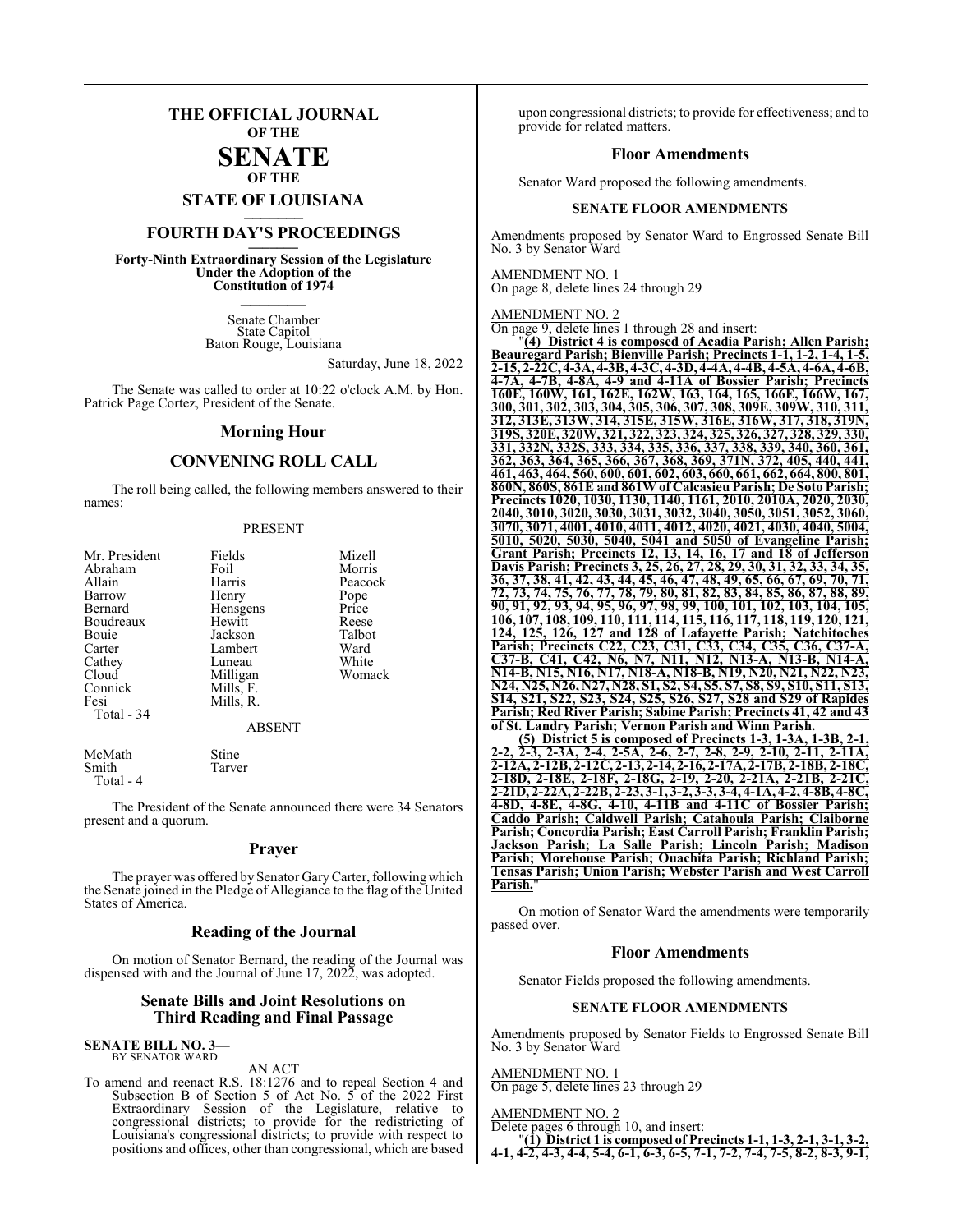### **THE OFFICIAL JOURNAL OF THE SENATE**

### **OF THE**

**STATE OF LOUISIANA \_\_\_\_\_\_\_**

### **FOURTH DAY'S PROCEEDINGS \_\_\_\_\_\_\_**

**Forty-Ninth Extraordinary Session of the Legislature Under the Adoption of the Constitution of 1974 \_\_\_\_\_\_\_**

> Senate Chamber State Capitol Baton Rouge, Louisiana

> > Saturday, June 18, 2022

The Senate was called to order at 10:22 o'clock A.M. by Hon. Patrick Page Cortez, President of the Senate.

### **Morning Hour**

### **CONVENING ROLL CALL**

The roll being called, the following members answered to their names:

#### PRESENT

| Mr. President | Fields        | Mizell  |
|---------------|---------------|---------|
| Abraham       | Foil          | Morris  |
| Allain        | Harris        | Peacock |
| Barrow        | Henry         | Pope    |
| Bernard       | Hensgens      | Price   |
| Boudreaux     | Hewitt        | Reese   |
| Bouie         | Jackson       | Talbot  |
| Carter        | Lambert       | Ward    |
| Cathey        | Luneau        | White   |
| Cloud         | Milligan      | Womack  |
| Connick       | Mills, F.     |         |
| Fesi          | Mills, R.     |         |
| Total $-34$   |               |         |
|               | <b>ABSENT</b> |         |
| McMath        | Stine         |         |
| Smith         | Tarver        |         |

Total - 4

The President of the Senate announced there were 34 Senators present and a quorum.

### **Prayer**

The prayer was offered by Senator GaryCarter, following which the Senate joined in the Pledge of Allegiance to the flag of the United States of America.

### **Reading of the Journal**

On motion of Senator Bernard, the reading of the Journal was dispensed with and the Journal of June 17, 2022, was adopted.

### **Senate Bills and Joint Resolutions on Third Reading and Final Passage**

**SENATE BILL NO. 3—** BY SENATOR WARD

#### AN ACT

To amend and reenact R.S. 18:1276 and to repeal Section 4 and Subsection B of Section 5 of Act No. 5 of the 2022 First Extraordinary Session of the Legislature, relative to congressional districts; to provide for the redistricting of Louisiana's congressional districts; to provide with respect to positions and offices, other than congressional, which are based

upon congressional districts; to provide for effectiveness; and to provide for related matters.

### **Floor Amendments**

Senator Ward proposed the following amendments.

### **SENATE FLOOR AMENDMENTS**

Amendments proposed by Senator Ward to Engrossed Senate Bill No. 3 by Senator Ward

AMENDMENT NO. 1 On page 8, delete lines 24 through 29

AMENDMENT NO. 2

On page 9, delete lines 1 through 28 and insert:

"**(4) District 4 is composed of Acadia Parish; Allen Parish; Beauregard Parish; Bienville Parish; Precincts 1-1, 1-2, 1-4, 1-5, 2-15, 2-22C,4-3A, 4-3B, 4-3C, 4-3D, 4-4A, 4-4B, 4-5A, 4-6A, 4-6B, 4-7A, 4-7B, 4-8A, 4-9 and 4-11A of Bossier Parish; Precincts 160E, 160W, 161, 162E, 162W, 163, 164, 165, 166E, 166W, 167, 300, 301, 302, 303, 304, 305, 306, 307, 308, 309E, 309W, 310, 311, 312, 313E, 313W, 314, 315E, 315W, 316E, 316W, 317, 318, 319N, 319S, 320E, 320W, 321, 322, 323, 324, 325, 326, 327, 328, 329, 330, 331, 332N, 332S, 333, 334, 335, 336, 337, 338, 339, 340, 360, 361, 362, 363, 364, 365, 366, 367, 368, 369, 371N, 372, 405, 440, 441, 461, 463, 464, 560, 600, 601, 602, 603, 660, 661, 662, 664, 800, 801, 860N, 860S, 861E and 861Wof Calcasieu Parish; De Soto Parish; Precincts 1020, 1030, 1130, 1140, 1161, 2010, 2010A, 2020, 2030, 2040, 3010, 3020, 3030, 3031, 3032, 3040, 3050, 3051, 3052, 3060, 3070, 3071, 4001, 4010, 4011, 4012, 4020, 4021, 4030, 4040, 5004, 5010, 5020, 5030, 5040, 5041 and 5050 of Evangeline Parish; Grant Parish; Precincts 12, 13, 14, 16, 17 and 18 of Jefferson Davis Parish; Precincts 3, 25, 26, 27, 28, 29, 30, 31, 32, 33, 34, 35, 36, 37, 38, 41, 42, 43, 44, 45, 46, 47, 48, 49, 65, 66, 67, 69, 70, 71, 72, 73, 74, 75, 76, 77, 78, 79, 80, 81, 82, 83, 84, 85, 86, 87, 88, 89, 90, 91, 92, 93, 94, 95, 96, 97, 98, 99, 100, 101, 102, 103, 104, 105, 106, 107, 108, 109, 110, 111, 114, 115, 116, 117, 118, 119, 120, 121, 124, 125, 126, 127 and 128 of Lafayette Parish; Natchitoches Parish; Precincts C22, C23, C31, C33, C34, C35, C36, C37-A, C37-B, C41, C42, N6, N7, N11, N12, N13-A, N13-B, N14-A, N14-B, N15, N16, N17, N18-A, N18-B, N19, N20, N21, N22, N23, N24, N25, N26, N27, N28, S1, S2, S4, S5, S7, S8, S9, S10, S11, S13, S14, S21, S22, S23, S24, S25, S26, S27, S28 and S29 of Rapides Parish; Red River Parish; Sabine Parish; Precincts 41, 42 and 43 of St. Landry Parish; Vernon Parish and Winn Parish.**

**(5) District 5 is composed of Precincts 1-3, 1-3A, 1-3B, 2-1, 2-2, 2-3, 2-3A, 2-4, 2-5A, 2-6, 2-7, 2-8, 2-9, 2-10, 2-11, 2-11A, 2-12A, 2-12B, 2-12C, 2-13, 2-14, 2-16, 2-17A, 2-17B, 2-18B, 2-18C, 2-18D, 2-18E, 2-18F, 2-18G, 2-19, 2-20, 2-21A, 2-21B, 2-21C, 2-21D, 2-22A, 2-22B, 2-23, 3-1, 3-2, 3-3, 3-4, 4-1A, 4-2, 4-8B, 4-8C, 4-8D, 4-8E, 4-8G, 4-10, 4-11B and 4-11C of Bossier Parish; Caddo Parish; Caldwell Parish; Catahoula Parish; Claiborne Parish; Concordia Parish; East Carroll Parish; Franklin Parish; Jackson Parish; La Salle Parish; Lincoln Parish; Madison Parish; Morehouse Parish; Ouachita Parish; Richland Parish; Tensas Parish; Union Parish; Webster Parish and West Carroll** Parish.

On motion of Senator Ward the amendments were temporarily passed over.

### **Floor Amendments**

Senator Fields proposed the following amendments.

### **SENATE FLOOR AMENDMENTS**

Amendments proposed by Senator Fields to Engrossed Senate Bill No. 3 by Senator Ward

### AMENDMENT NO. 1

On page 5, delete lines 23 through 29

### AMENDMENT NO. 2

Delete pages 6 through 10, and insert:

|  |  |  |  |  |  |  | "(1) District 1 is composed of Precincts 1-1, 1-3, 2-1, 3-1, 3-2,          |
|--|--|--|--|--|--|--|----------------------------------------------------------------------------|
|  |  |  |  |  |  |  | 4-1, 4-2, 4-3, 4-4, 5-4, 6-1, 6-3, 6-5, 7-1, 7-2, 7-4, 7-5, 8-2, 8-3, 9-1, |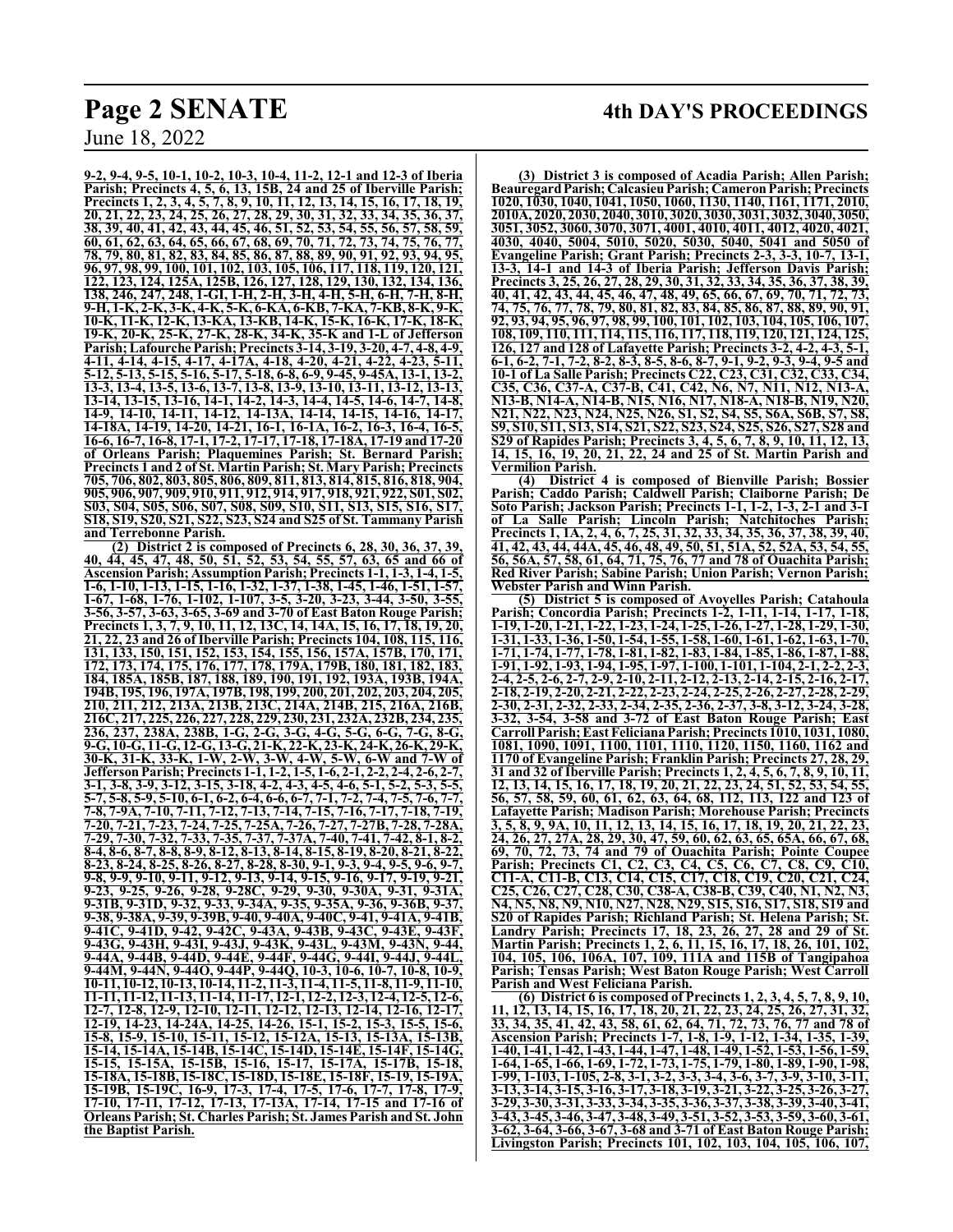**9-2, 9-4, 9-5, 10-1, 10-2, 10-3, 10-4, 11-2, 12-1 and 12-3 of Iberia Parish; Precincts 4, 5, 6, 13, 15B, 24 and 25 of Iberville Parish; Precincts 1, 2, 3, 4, 5, 7, 8, 9, 10, 11, 12, 13, 14, 15, 16, 17, 18, 19, 20, 21, 22, 23, 24, 25, 26, 27, 28, 29, 30, 31, 32, 33, 34, 35, 36, 37, 38, 39, 40, 41, 42, 43, 44, 45, 46, 51, 52, 53, 54, 55, 56, 57, 58, 59, 60, 61, 62, 63, 64, 65, 66, 67, 68, 69, 70, 71, 72, 73, 74, 75, 76, 77, 78, 79, 80, 81, 82, 83, 84, 85, 86, 87, 88, 89, 90, 91, 92, 93, 94, 95, 96, 97, 98, 99, 100, 101, 102, 103, 105, 106, 117, 118, 119, 120, 121, 122, 123, 124, 125A, 125B, 126, 127, 128, 129, 130, 132, 134, 136, 138, 246, 247, 248, 1-GI, 1-H, 2-H, 3-H, 4-H, 5-H, 6-H, 7-H, 8-H, 9-H, 1-K, 2-K, 3-K, 4-K, 5-K, 6-KA, 6-KB, 7-KA, 7-KB, 8-K, 9-K, 10-K, 11-K, 12-K, 13-KA, 13-KB, 14-K, 15-K, 16-K, 17-K, 18-K, 19-K, 20-K, 25-K, 27-K, 28-K, 34-K, 35-K and 1-L of Jefferson Parish; Lafourche Parish; Precincts 3-14, 3-19, 3-20, 4-7, 4-8, 4-9, 4-11, 4-14, 4-15, 4-17, 4-17A, 4-18, 4-20, 4-21, 4-22, 4-23, 5-11, 5-12, 5-13, 5-15, 5-16, 5-17, 5-18, 6-8, 6-9, 9-45, 9-45A, 13-1, 13-2, 13-3, 13-4, 13-5, 13-6, 13-7, 13-8, 13-9, 13-10, 13-11, 13-12, 13-13, 13-14, 13-15, 13-16, 14-1, 14-2, 14-3, 14-4, 14-5, 14-6, 14-7, 14-8, 14-9, 14-10, 14-11, 14-12, 14-13A, 14-14, 14-15, 14-16, 14-17, 14-18A, 14-19, 14-20, 14-21, 16-1, 16-1A, 16-2, 16-3, 16-4, 16-5, 16-6, 16-7, 16-8, 17-1, 17-2, 17-17, 17-18, 17-18A, 17-19 and 17-20 of Orleans Parish; Plaquemines Parish; St. Bernard Parish; Precincts 1 and 2 of St. Martin Parish; St. Mary Parish; Precincts 705, 706, 802, 803, 805, 806, 809, 811, 813, 814, 815, 816, 818, 904, 905, 906, 907, 909, 910, 911, 912, 914, 917, 918, 921, 922, S01, S02, S03, S04, S05, S06, S07, S08, S09, S10, S11, S13, S15, S16, S17, S18, S19, S20, S21, S22, S23, S24 and S25 of St. Tammany Parish and Terrebonne Parish.**

**(2) District 2 is composed of Precincts 6, 28, 30, 36, 37, 39, 40, 44, 45, 47, 48, 50, 51, 52, 53, 54, 55, 57, 63, 65 and 66 of Ascension Parish; AssumptionParish; Precincts 1-1, 1-3, 1-4, 1-5, 1-6, 1-10, 1-13, 1-15, 1-16, 1-32, 1-37, 1-38, 1-45, 1-46, 1-51, 1-57, 1-67, 1-68, 1-76, 1-102, 1-107, 3-5, 3-20, 3-23, 3-44, 3-50, 3-55, 3-56, 3-57, 3-63, 3-65, 3-69 and 3-70 of East Baton Rouge Parish; Precincts 1, 3, 7, 9, 10, 11, 12, 13C, 14, 14A, 15, 16, 17, 18, 19, 20, 21, 22, 23 and 26 of Iberville Parish; Precincts 104, 108, 115, 116, 131, 133, 150, 151, 152, 153, 154, 155, 156, 157A, 157B, 170, 171, 172, 173, 174, 175, 176, 177, 178, 179A, 179B, 180, 181, 182, 183, 184, 185A, 185B, 187, 188, 189, 190, 191, 192, 193A, 193B, 194A, 194B, 195, 196, 197A, 197B, 198, 199, 200, 201, 202, 203, 204, 205, 210, 211, 212, 213A, 213B, 213C, 214A, 214B, 215, 216A, 216B, 216C, 217, 225, 226, 227, 228, 229, 230, 231, 232A, 232B, 234, 235, 236, 237, 238A, 238B, 1-G, 2-G, 3-G, 4-G, 5-G, 6-G, 7-G, 8-G, 9-G, 10-G, 11-G, 12-G, 13-G, 21-K, 22-K, 23-K, 24-K, 26-K, 29-K, 30-K, 31-K, 33-K, 1-W, 2-W, 3-W, 4-W, 5-W, 6-W and 7-W of JeffersonParish; Precincts 1-1, 1-2, 1-5, 1-6, 2-1, 2-2, 2-4, 2-6, 2-7, 3-1, 3-8, 3-9, 3-12, 3-15, 3-18, 4-2, 4-3, 4-5, 4-6, 5-1, 5-2, 5-3, 5-5, 5-7, 5-8, 5-9, 5-10, 6-1, 6-2, 6-4, 6-6, 6-7, 7-1, 7-2, 7-4, 7-5, 7-6, 7-7, 7-8, 7-9A, 7-10, 7-11, 7-12, 7-13, 7-14, 7-15, 7-16, 7-17, 7-18, 7-19, 7-20, 7-21, 7-23, 7-24, 7-25, 7-25A, 7-26, 7-27, 7-27B, 7-28, 7-28A, 7-29, 7-30, 7-32, 7-33, 7-35, 7-37, 7-37A, 7-40, 7-41, 7-42, 8-1, 8-2, 8-4, 8-6, 8-7, 8-8, 8-9, 8-12, 8-13, 8-14, 8-15, 8-19, 8-20, 8-21, 8-22, 8-23, 8-24, 8-25, 8-26, 8-27, 8-28, 8-30, 9-1, 9-3, 9-4, 9-5, 9-6, 9-7, 9-8, 9-9, 9-10, 9-11, 9-12, 9-13, 9-14, 9-15, 9-16, 9-17, 9-19, 9-21, 9-23, 9-25, 9-26, 9-28, 9-28C, 9-29, 9-30, 9-30A, 9-31, 9-31A, 9-31B, 9-31D, 9-32, 9-33, 9-34A, 9-35, 9-35A, 9-36, 9-36B, 9-37, 9-38, 9-38A, 9-39, 9-39B, 9-40, 9-40A, 9-40C, 9-41, 9-41A, 9-41B, 9-41C, 9-41D, 9-42, 9-42C, 9-43A, 9-43B, 9-43C, 9-43E, 9-43F, 9-43G, 9-43H, 9-43I, 9-43J, 9-43K, 9-43L, 9-43M, 9-43N, 9-44, 9-44A, 9-44B, 9-44D, 9-44E, 9-44F, 9-44G, 9-44I, 9-44J, 9-44L, 9-44M, 9-44N, 9-44O, 9-44P, 9-44Q, 10-3, 10-6, 10-7, 10-8, 10-9, 10-11, 10-12, 10-13, 10-14, 11-2, 11-3, 11-4, 11-5, 11-8, 11-9, 11-10, 11-11, 11-12, 11-13, 11-14, 11-17, 12-1, 12-2, 12-3, 12-4, 12-5, 12-6, 12-7, 12-8, 12-9, 12-10, 12-11, 12-12, 12-13, 12-14, 12-16, 12-17, 12-19, 14-23, 14-24A, 14-25, 14-26, 15-1, 15-2, 15-3, 15-5, 15-6, 15-8, 15-9, 15-10, 15-11, 15-12, 15-12A, 15-13, 15-13A, 15-13B, 15-14, 15-14A, 15-14B, 15-14C, 15-14D, 15-14E, 15-14F, 15-14G, 15-15, 15-15A, 15-15B, 15-16, 15-17, 15-17A, 15-17B, 15-18, 15-18A, 15-18B, 15-18C, 15-18D, 15-18E, 15-18F, 15-19, 15-19A, 15-19B, 15-19C, 16-9, 17-3, 17-4, 17-5, 17-6, 17-7, 17-8, 17-9, 17-10, 17-11, 17-12, 17-13, 17-13A, 17-14, 17-15 and 17-16 of Orleans Parish; St. Charles Parish; St. James Parish and St. John the Baptist Parish.**

## **Page 2 SENATE 4th DAY'S PROCEEDINGS**

**(3) District 3 is composed of Acadia Parish; Allen Parish; BeauregardParish;CalcasieuParish; CameronParish; Precincts 1020, 1030, 1040, 1041, 1050, 1060, 1130, 1140, 1161, 1171, 2010, 2010A, 2020, 2030, 2040, 3010, 3020, 3030, 3031, 3032, 3040, 3050, 3051, 3052, 3060, 3070, 3071, 4001, 4010, 4011, 4012, 4020, 4021, 4030, 4040, 5004, 5010, 5020, 5030, 5040, 5041 and 5050 of Evangeline Parish; Grant Parish; Precincts 2-3, 3-3, 10-7, 13-1, 13-3, 14-1 and 14-3 of Iberia Parish; Jefferson Davis Parish; Precincts 3, 25, 26, 27, 28, 29, 30, 31, 32, 33, 34, 35, 36, 37, 38, 39, 40, 41, 42, 43, 44, 45, 46, 47, 48, 49, 65, 66, 67, 69, 70, 71, 72, 73, 74, 75, 76, 77, 78, 79, 80, 81, 82, 83, 84, 85, 86, 87, 88, 89, 90, 91, 92, 93, 94, 95, 96, 97, 98, 99, 100, 101, 102, 103, 104, 105, 106, 107, 108, 109, 110, 111, 114, 115, 116, 117, 118, 119, 120, 121, 124, 125, 126, 127 and 128 of Lafayette Parish; Precincts 3-2, 4-2, 4-3, 5-1, 6-1, 6-2, 7-1, 7-2, 8-2, 8-3, 8-5, 8-6, 8-7, 9-1, 9-2, 9-3, 9-4, 9-5 and 10-1 of La Salle Parish; Precincts C22, C23, C31, C32, C33, C34, C35, C36, C37-A, C37-B, C41, C42, N6, N7, N11, N12, N13-A, N13-B, N14-A, N14-B, N15, N16, N17, N18-A, N18-B, N19, N20, N21, N22, N23, N24, N25, N26, S1, S2, S4, S5, S6A, S6B, S7, S8, S9, S10, S11, S13, S14, S21, S22, S23, S24, S25, S26, S27, S28 and S29 of Rapides Parish; Precincts 3, 4, 5, 6, 7, 8, 9, 10, 11, 12, 13, 14, 15, 16, 19, 20, 21, 22, 24 and 25 of St. Martin Parish and Vermilion Parish.**

**(4) District 4 is composed of Bienville Parish; Bossier Parish; Caddo Parish; Caldwell Parish; Claiborne Parish; De Soto Parish; Jackson Parish; Precincts 1-1, 1-2, 1-3, 2-1 and 3-1 of La Salle Parish; Lincoln Parish; Natchitoches Parish; Precincts 1, 1A, 2, 4, 6, 7, 25, 31, 32, 33, 34, 35, 36, 37, 38, 39, 40, 41, 42, 43, 44, 44A, 45, 46, 48, 49, 50, 51, 51A, 52, 52A, 53, 54, 55, 56, 56A, 57, 58, 61, 64, 71, 75, 76, 77 and 78 of Ouachita Parish; Red River Parish; Sabine Parish; Union Parish; Vernon Parish; Webster Parish and Winn Parish.**

**(5) District 5 is composed of Avoyelles Parish; Catahoula Parish; Concordia Parish; Precincts 1-2, 1-11, 1-14, 1-17, 1-18, 1-19, 1-20, 1-21, 1-22, 1-23, 1-24, 1-25, 1-26, 1-27, 1-28, 1-29, 1-30, 1-31, 1-33, 1-36, 1-50, 1-54, 1-55, 1-58, 1-60, 1-61, 1-62, 1-63, 1-70, 1-71, 1-74, 1-77, 1-78, 1-81, 1-82, 1-83, 1-84, 1-85, 1-86, 1-87, 1-88, 1-91, 1-92, 1-93, 1-94, 1-95, 1-97, 1-100, 1-101, 1-104, 2-1, 2-2, 2-3, 2-4, 2-5, 2-6, 2-7, 2-9, 2-10, 2-11, 2-12, 2-13, 2-14, 2-15, 2-16, 2-17, 2-18, 2-19, 2-20, 2-21, 2-22, 2-23, 2-24, 2-25, 2-26, 2-27, 2-28, 2-29, 2-30, 2-31, 2-32, 2-33, 2-34, 2-35, 2-36, 2-37, 3-8, 3-12, 3-24, 3-28, 3-32, 3-54, 3-58 and 3-72 of East Baton Rouge Parish; East Carroll Parish; East FelicianaParish; Precincts 1010, 1031, 1080, 1081, 1090, 1091, 1100, 1101, 1110, 1120, 1150, 1160, 1162 and 1170 of Evangeline Parish; Franklin Parish; Precincts 27, 28, 29, 31 and 32 of Iberville Parish; Precincts 1, 2, 4, 5, 6, 7, 8, 9, 10, 11, 12, 13, 14, 15, 16, 17, 18, 19, 20, 21, 22, 23, 24, 51, 52, 53, 54, 55, 56, 57, 58, 59, 60, 61, 62, 63, 64, 68, 112, 113, 122 and 123 of Lafayette Parish; Madison Parish; Morehouse Parish; Precincts 3, 5, 8, 9, 9A, 10, 11, 12, 13, 14, 15, 16, 17, 18, 19, 20, 21, 22, 23, 24, 26, 27, 27A, 28, 29, 30, 47, 59, 60, 62, 63, 65, 65A, 66, 67, 68, 69, 70, 72, 73, 74 and 79 of Ouachita Parish; Pointe Coupee Parish; Precincts C1, C2, C3, C4, C5, C6, C7, C8, C9, C10, C11-A, C11-B, C13, C14, C15, C17, C18, C19, C20, C21, C24, C25, C26, C27, C28, C30, C38-A, C38-B, C39, C40, N1, N2, N3, N4, N5, N8, N9, N10, N27, N28, N29, S15, S16, S17, S18, S19 and S20 of Rapides Parish; Richland Parish; St. Helena Parish; St. Landry Parish; Precincts 17, 18, 23, 26, 27, 28 and 29 of St. Martin Parish; Precincts 1, 2, 6, 11, 15, 16, 17, 18, 26, 101, 102, 104, 105, 106, 106A, 107, 109, 111A and 115B of Tangipahoa Parish; Tensas Parish; West Baton Rouge Parish; West Carroll Parish and West Feliciana Parish.**

**(6) District 6 is composed of Precincts 1, 2, 3, 4, 5, 7, 8, 9, 10, 11, 12, 13, 14, 15, 16, 17, 18, 20, 21, 22, 23, 24, 25, 26, 27, 31, 32, 33, 34, 35, 41, 42, 43, 58, 61, 62, 64, 71, 72, 73, 76, 77 and 78 of Ascension Parish; Precincts 1-7, 1-8, 1-9, 1-12, 1-34, 1-35, 1-39, 1-40, 1-41, 1-42, 1-43, 1-44, 1-47, 1-48, 1-49, 1-52, 1-53, 1-56, 1-59, 1-64, 1-65, 1-66, 1-69, 1-72, 1-73, 1-75, 1-79, 1-80, 1-89, 1-90, 1-98, 1-99, 1-103, 1-105, 2-8, 3-1, 3-2, 3-3, 3-4, 3-6, 3-7, 3-9, 3-10, 3-11, 3-13, 3-14, 3-15, 3-16, 3-17, 3-18, 3-19, 3-21, 3-22, 3-25, 3-26, 3-27, 3-29, 3-30, 3-31, 3-33, 3-34, 3-35, 3-36, 3-37, 3-38, 3-39, 3-40, 3-41, 3-43, 3-45, 3-46, 3-47, 3-48, 3-49, 3-51, 3-52, 3-53, 3-59, 3-60, 3-61, 3-62, 3-64, 3-66, 3-67, 3-68 and 3-71 of East Baton Rouge Parish; Livingston Parish; Precincts 101, 102, 103, 104, 105, 106, 107,**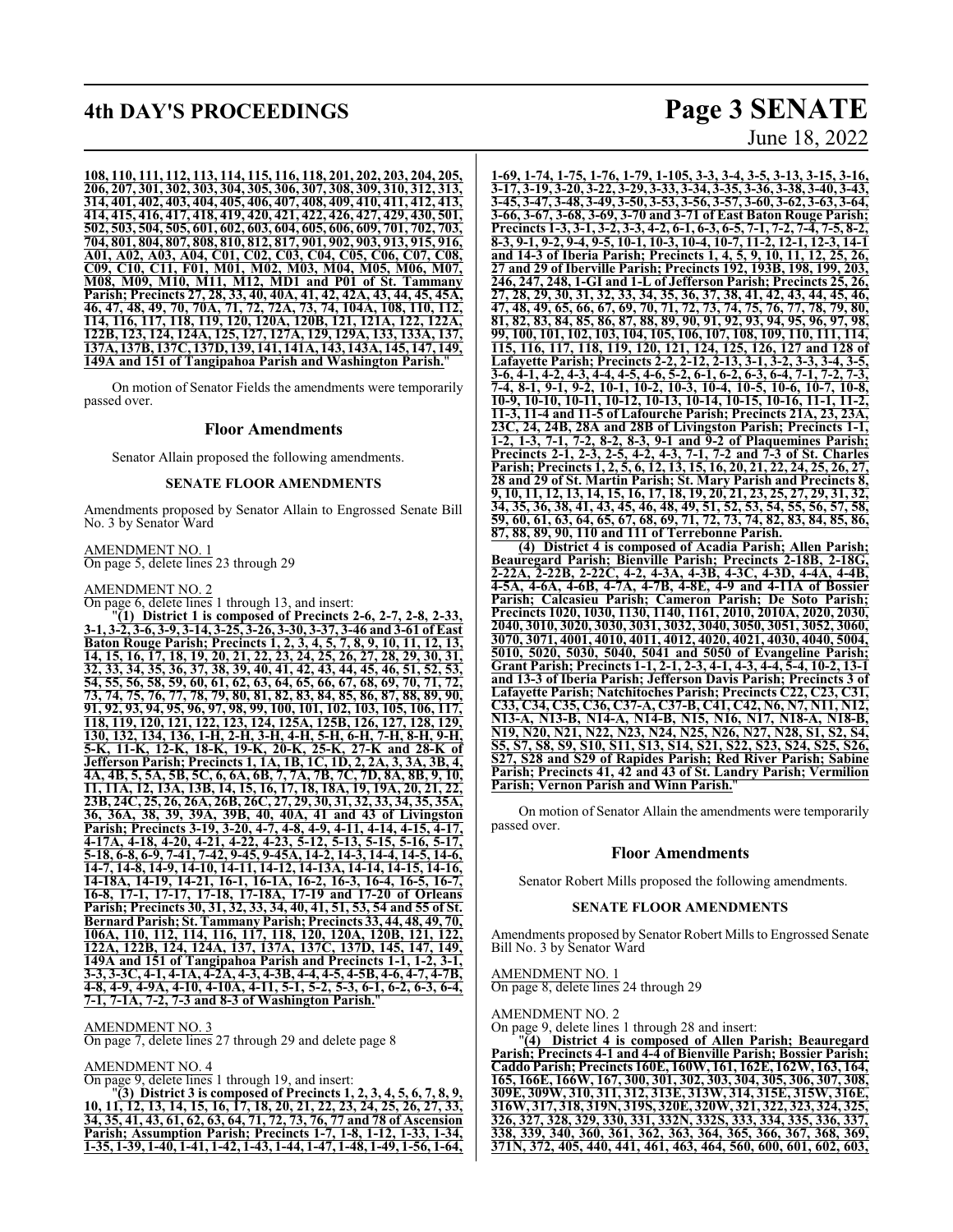## **4th DAY'S PROCEEDINGS Page 3 SENATE**

#### **108, 110, 111, 112, 113, 114, 115, 116, 118, 201, 202, 203, 204, 205, 206, 207, 301, 302, 303, 304, 305, 306, 307, 308, 309, 310, 312, 313, 314, 401, 402, 403, 404, 405, 406, 407, 408, 409, 410, 411, 412, 413, 414, 415, 416, 417, 418, 419, 420, 421, 422, 426, 427, 429, 430, 501, 502, 503, 504, 505, 601, 602, 603, 604, 605, 606, 609, 701, 702, 703, 704, 801, 804, 807, 808, 810, 812, 817, 901, 902, 903, 913, 915, 916, A01, A02, A03, A04, C01, C02, C03, C04, C05, C06, C07, C08, C09, C10, C11, F01, M01, M02, M03, M04, M05, M06, M07, M08, M09, M10, M11, M12, MD1 and P01 of St. Tammany Parish; Precincts 27, 28, 33, 40, 40A, 41, 42, 42A, 43, 44, 45, 45A, 46, 47, 48, 49, 70, 70A, 71, 72, 72A, 73, 74, 104A, 108, 110, 112, 114, 116, 117, 118, 119, 120, 120A, 120B, 121, 121A, 122, 122A, 122B, 123, 124, 124A, 125, 127, 127A, 129, 129A, 133, 133A, 137, 137A, 137B, 137C, 137D, 139, 141, 141A, 143, 143A, 145, 147, 149, 149A and 151 of Tangipahoa Parish and Washington Parish.**"

On motion of Senator Fields the amendments were temporarily passed over.

### **Floor Amendments**

Senator Allain proposed the following amendments.

### **SENATE FLOOR AMENDMENTS**

Amendments proposed by Senator Allain to Engrossed Senate Bill No. 3 by Senator Ward

AMENDMENT NO. 1 On page 5, delete lines 23 through 29

AMENDMENT NO. 2

On page 6, delete lines 1 through 13, and insert:

"**(1) District 1 is composed of Precincts 2-6, 2-7, 2-8, 2-33, 3-1, 3-2, 3-6, 3-9, 3-14, 3-25, 3-26, 3-30, 3-37, 3-46 and 3-61 of East Baton Rouge Parish; Precincts 1, 2, 3, 4, 5, 7, 8, 9, 10, 11, 12, 13, 14, 15, 16, 17, 18, 19, 20, 21, 22, 23, 24, 25, 26, 27, 28, 29, 30, 31, 32, 33, 34, 35, 36, 37, 38, 39, 40, 41, 42, 43, 44, 45, 46, 51, 52, 53, 54, 55, 56, 58, 59, 60, 61, 62, 63, 64, 65, 66, 67, 68, 69, 70, 71, 72, 73, 74, 75, 76, 77, 78, 79, 80, 81, 82, 83, 84, 85, 86, 87, 88, 89, 90, 91, 92, 93, 94, 95, 96, 97, 98, 99, 100, 101, 102, 103, 105, 106, 117, 118, 119, 120, 121, 122, 123, 124, 125A, 125B, 126, 127, 128, 129, 130, 132, 134, 136, 1-H, 2-H, 3-H, 4-H, 5-H, 6-H, 7-H, 8-H, 9-H, 5-K, 11-K, 12-K, 18-K, 19-K, 20-K, 25-K, 27-K and 28-K of Jefferson Parish; Precincts 1, 1A, 1B, 1C, 1D, 2, 2A, 3, 3A, 3B, 4, 4A, 4B, 5, 5A, 5B, 5C, 6, 6A, 6B, 7, 7A, 7B, 7C, 7D, 8A, 8B, 9, 10, 11, 11A, 12, 13A, 13B, 14, 15, 16, 17, 18, 18A, 19, 19A, 20, 21, 22, 23B, 24C, 25, 26, 26A, 26B, 26C, 27, 29, 30, 31, 32, 33, 34, 35, 35A, 36, 36A, 38, 39, 39A, 39B, 40, 40A, 41 and 43 of Livingston Parish; Precincts 3-19, 3-20, 4-7, 4-8, 4-9, 4-11, 4-14, 4-15, 4-17, 4-17A, 4-18, 4-20, 4-21, 4-22, 4-23, 5-12, 5-13, 5-15, 5-16, 5-17, 5-18, 6-8, 6-9, 7-41, 7-42, 9-45, 9-45A, 14-2, 14-3, 14-4, 14-5, 14-6, 14-7, 14-8, 14-9, 14-10, 14-11, 14-12, 14-13A, 14-14, 14-15, 14-16, 14-18A, 14-19, 14-21, 16-1, 16-1A, 16-2, 16-3, 16-4, 16-5, 16-7, 16-8, 17-1, 17-17, 17-18, 17-18A, 17-19 and 17-20 of Orleans Parish; Precincts 30, 31, 32, 33, 34, 40, 41, 51, 53, 54 and 55 of St. BernardParish; St. Tammany Parish; Precincts 33, 44, 48, 49, 70, 106A, 110, 112, 114, 116, 117, 118, 120, 120A, 120B, 121, 122, 122A, 122B, 124, 124A, 137, 137A, 137C, 137D, 145, 147, 149, 149A and 151 of Tangipahoa Parish and Precincts 1-1, 1-2, 3-1, 3-3, 3-3C, 4-1, 4-1A, 4-2A, 4-3, 4-3B, 4-4, 4-5, 4-5B, 4-6, 4-7, 4-7B, 4-8, 4-9, 4-9A, 4-10, 4-10A, 4-11, 5-1, 5-2, 5-3, 6-1, 6-2, 6-3, 6-4, 7-1, 7-1A, 7-2, 7-3 and 8-3 of Washington Parish.**"

### AMENDMENT NO. 3

On page 7, delete lines 27 through 29 and delete page 8

AMENDMENT NO. 4

On page 9, delete lines 1 through 19, and insert:

"**(3) District 3 is composed of Precincts 1, 2, 3, 4, 5, 6, 7, 8, 9, 10, 11, 12, 13, 14, 15, 16, 17, 18, 20, 21, 22, 23, 24, 25, 26, 27, 33, 34, 35, 41, 43, 61, 62, 63, 64, 71, 72, 73, 76, 77 and 78 of Ascension Parish; Assumption Parish; Precincts 1-7, 1-8, 1-12, 1-33, 1-34, 1-35, 1-39, 1-40, 1-41, 1-42, 1-43, 1-44, 1-47, 1-48, 1-49, 1-56, 1-64,**

June 18, 2022

**1-69, 1-74, 1-75, 1-76, 1-79, 1-105, 3-3, 3-4, 3-5, 3-13, 3-15, 3-16, 3-17, 3-19, 3-20, 3-22, 3-29, 3-33, 3-34, 3-35, 3-36, 3-38, 3-40, 3-43, 3-45, 3-47, 3-48, 3-49, 3-50, 3-53, 3-56, 3-57, 3-60, 3-62, 3-63, 3-64, 3-66, 3-67, 3-68, 3-69, 3-70 and 3-71 of East Baton Rouge Parish; Precincts 1-3, 3-1, 3-2, 3-3, 4-2, 6-1, 6-3, 6-5, 7-1, 7-2, 7-4, 7-5, 8-2, 8-3, 9-1, 9-2, 9-4, 9-5, 10-1, 10-3, 10-4, 10-7, 11-2, 12-1, 12-3, 14-1 and 14-3 of Iberia Parish; Precincts 1, 4, 5, 9, 10, 11, 12, 25, 26, 27 and 29 of Iberville Parish; Precincts 192, 193B, 198, 199, 203, 246, 247, 248, 1-GI and 1-L of Jefferson Parish; Precincts 25, 26, 27, 28, 29, 30, 31, 32, 33, 34, 35, 36, 37, 38, 41, 42, 43, 44, 45, 46, 47, 48, 49, 65, 66, 67, 69, 70, 71, 72, 73, 74, 75, 76, 77, 78, 79, 80, 81, 82, 83, 84, 85, 86, 87, 88, 89, 90, 91, 92, 93, 94, 95, 96, 97, 98, 99, 100, 101, 102, 103, 104, 105, 106, 107, 108, 109, 110, 111, 114, 115, 116, 117, 118, 119, 120, 121, 124, 125, 126, 127 and 128 of Lafayette Parish; Precincts 2-2, 2-12, 2-13, 3-1, 3-2, 3-3, 3-4, 3-5, 3-6, 4-1, 4-2, 4-3, 4-4, 4-5, 4-6, 5-2, 6-1, 6-2, 6-3, 6-4, 7-1, 7-2, 7-3, 7-4, 8-1, 9-1, 9-2, 10-1, 10-2, 10-3, 10-4, 10-5, 10-6, 10-7, 10-8, 10-9, 10-10, 10-11, 10-12, 10-13, 10-14, 10-15, 10-16, 11-1, 11-2, 11-3, 11-4 and 11-5 of Lafourche Parish; Precincts 21A, 23, 23A, 23C, 24, 24B, 28A and 28B of Livingston Parish; Precincts 1-1, 1-2, 1-3, 7-1, 7-2, 8-2, 8-3, 9-1 and 9-2 of Plaquemines Parish; Precincts 2-1, 2-3, 2-5, 4-2, 4-3, 7-1, 7-2 and 7-3 of St. Charles Parish; Precincts 1, 2, 5, 6, 12, 13, 15, 16, 20, 21, 22, 24, 25, 26, 27, 28 and 29 of St. Martin Parish; St. Mary Parish and Precincts 8, 9, 10, 11, 12, 13, 14, 15, 16, 17, 18, 19, 20, 21, 23, 25, 27, 29, 31, 32, 34, 35, 36, 38, 41, 43, 45, 46, 48, 49, 51, 52, 53, 54, 55, 56, 57, 58, 59, 60, 61, 63, 64, 65, 67, 68, 69, 71, 72, 73, 74, 82, 83, 84, 85, 86, 87, 88, 89, 90, 110 and 111 of Terrebonne Parish.**

**(4) District 4 is composed of Acadia Parish; Allen Parish; Beauregard Parish; Bienville Parish; Precincts 2-18B, 2-18G, 2-22A, 2-22B, 2-22C, 4-2, 4-3A, 4-3B, 4-3C, 4-3D, 4-4A, 4-4B, 4-5A, 4-6A, 4-6B, 4-7A, 4-7B, 4-8E, 4-9 and 4-11A of Bossier Parish; Calcasieu Parish; Cameron Parish; De Soto Parish; Precincts 1020, 1030, 1130, 1140, 1161, 2010, 2010A, 2020, 2030, 2040, 3010, 3020, 3030, 3031, 3032, 3040, 3050, 3051, 3052, 3060, 3070, 3071, 4001, 4010, 4011, 4012, 4020, 4021, 4030, 4040, 5004, 5010, 5020, 5030, 5040, 5041 and 5050 of Evangeline Parish; Grant Parish; Precincts 1-1, 2-1, 2-3, 4-1, 4-3, 4-4, 5-4, 10-2, 13-1 and 13-3 of Iberia Parish; Jefferson Davis Parish; Precincts 3 of Lafayette Parish; Natchitoches Parish; Precincts C22, C23, C31, C33, C34, C35, C36, C37-A, C37-B, C41, C42, N6, N7, N11, N12, N13-A, N13-B, N14-A, N14-B, N15, N16, N17, N18-A, N18-B, N19, N20, N21, N22, N23, N24, N25, N26, N27, N28, S1, S2, S4, S5, S7, S8, S9, S10, S11, S13, S14, S21, S22, S23, S24, S25, S26, S27, S28 and S29 of Rapides Parish; Red River Parish; Sabine Parish; Precincts 41, 42 and 43 of St. Landry Parish; Vermilion Parish; Vernon Parish and Winn Parish.**"

On motion of Senator Allain the amendments were temporarily passed over.

### **Floor Amendments**

Senator Robert Mills proposed the following amendments.

### **SENATE FLOOR AMENDMENTS**

Amendments proposed by Senator Robert Mills to Engrossed Senate Bill No. 3 by Senator Ward

### AMENDMENT NO. 1

On page 8, delete lines 24 through 29

AMENDMENT NO. 2

On page 9, delete lines 1 through 28 and insert:

"**(4) District 4 is composed of Allen Parish; Beauregard Parish; Precincts 4-1 and 4-4 of Bienville Parish; Bossier Parish; Caddo Parish; Precincts 160E, 160W, 161, 162E, 162W, 163, 164, 165, 166E, 166W, 167, 300, 301, 302, 303, 304, 305, 306, 307, 308, 309E, 309W, 310, 311, 312, 313E, 313W, 314, 315E, 315W, 316E, 316W, 317, 318, 319N, 319S, 320E, 320W, 321, 322, 323, 324, 325, 326, 327, 328, 329, 330, 331, 332N, 332S, 333, 334, 335, 336, 337, 338, 339, 340, 360, 361, 362, 363, 364, 365, 366, 367, 368, 369, 371N, 372, 405, 440, 441, 461, 463, 464, 560, 600, 601, 602, 603,**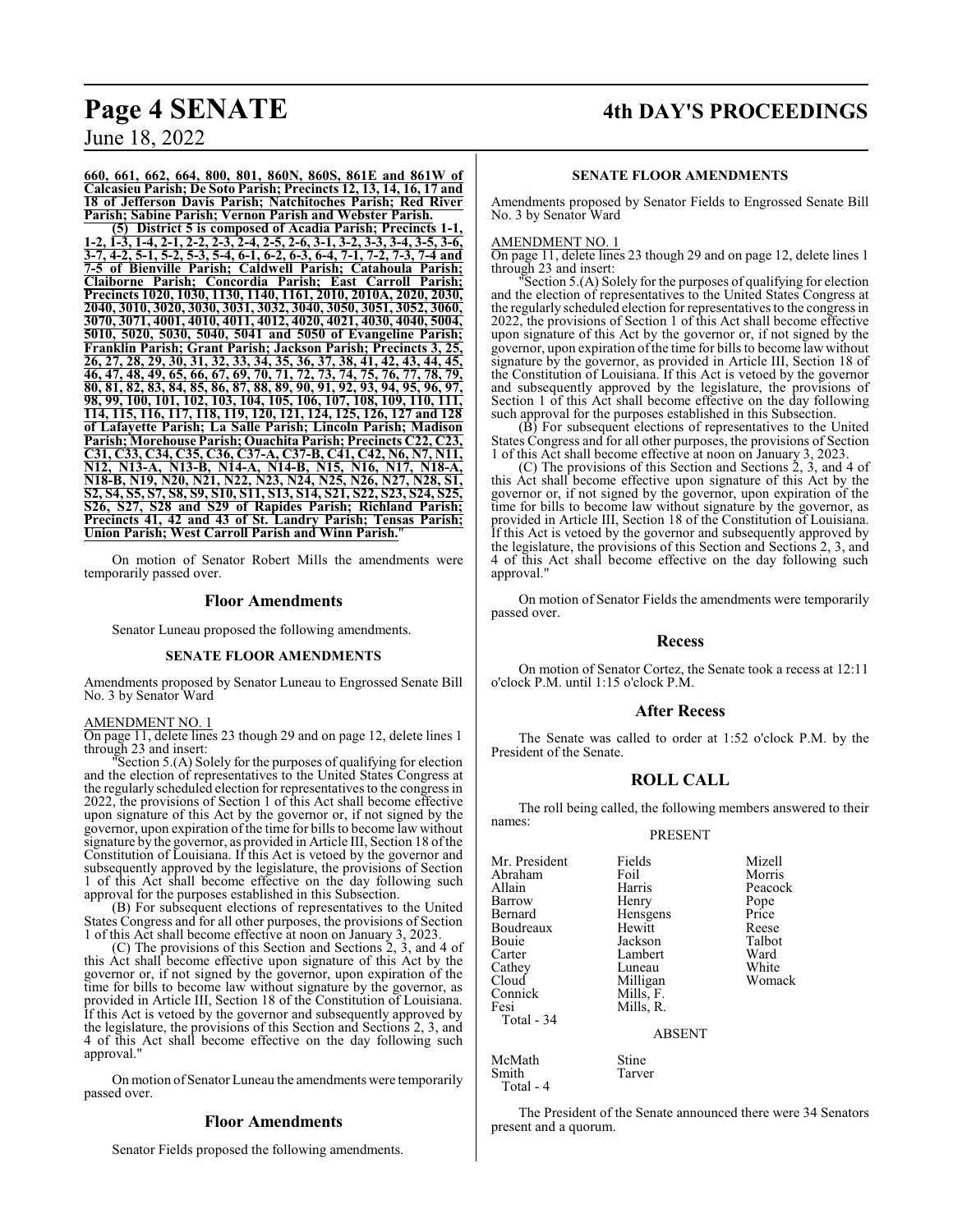## **Page 4 SENATE 4th DAY'S PROCEEDINGS**

**660, 661, 662, 664, 800, 801, 860N, 860S, 861E and 861W of Calcasieu Parish; De Soto Parish; Precincts 12, 13, 14, 16, 17 and 18 of Jefferson Davis Parish; Natchitoches Parish; Red River Parish; Sabine Parish; Vernon Parish and Webster Parish.**

**(5) District 5 is composed of Acadia Parish; Precincts 1-1, 1-2, 1-3, 1-4, 2-1, 2-2, 2-3, 2-4, 2-5, 2-6, 3-1, 3-2, 3-3, 3-4, 3-5, 3-6, 3-7, 4-2, 5-1, 5-2, 5-3, 5-4, 6-1, 6-2, 6-3, 6-4, 7-1, 7-2, 7-3, 7-4 and 7-5 of Bienville Parish; Caldwell Parish; Catahoula Parish; Claiborne Parish; Concordia Parish; East Carroll Parish; Precincts 1020, 1030, 1130, 1140, 1161, 2010, 2010A, 2020, 2030, 2040, 3010, 3020, 3030, 3031, 3032, 3040, 3050, 3051, 3052, 3060, 3070, 3071, 4001, 4010, 4011, 4012, 4020, 4021, 4030, 4040, 5004, 5010, 5020, 5030, 5040, 5041 and 5050 of Evangeline Parish; Franklin Parish; Grant Parish; Jackson Parish; Precincts 3, 25, 26, 27, 28, 29, 30, 31, 32, 33, 34, 35, 36, 37, 38, 41, 42, 43, 44, 45, 46, 47, 48, 49, 65, 66, 67, 69, 70, 71, 72, 73, 74, 75, 76, 77, 78, 79, 80, 81, 82, 83, 84, 85, 86, 87, 88, 89, 90, 91, 92, 93, 94, 95, 96, 97, 98, 99, 100, 101, 102, 103, 104, 105, 106, 107, 108, 109, 110, 111, 114, 115, 116, 117, 118, 119, 120, 121, 124, 125, 126, 127 and 128 of Lafayette Parish; La Salle Parish; Lincoln Parish; Madison Parish; Morehouse Parish; Ouachita Parish; Precincts C22, C23, C31, C33, C34, C35, C36, C37-A, C37-B, C41, C42, N6, N7, N11, N12, N13-A, N13-B, N14-A, N14-B, N15, N16, N17, N18-A, N18-B, N19, N20, N21, N22, N23, N24, N25, N26, N27, N28, S1, S2, S4, S5, S7, S8, S9, S10, S11, S13, S14, S21, S22, S23, S24, S25, S26, S27, S28 and S29 of Rapides Parish; Richland Parish; Precincts 41, 42 and 43 of St. Landry Parish; Tensas Parish; Union Parish; West Carroll Parish and Winn Parish.**"

On motion of Senator Robert Mills the amendments were temporarily passed over.

### **Floor Amendments**

Senator Luneau proposed the following amendments.

### **SENATE FLOOR AMENDMENTS**

Amendments proposed by Senator Luneau to Engrossed Senate Bill No. 3 by Senator Ward

#### AMENDMENT NO. 1

On page 11, delete lines 23 though 29 and on page 12, delete lines 1 through 23 and insert:

Section 5.(A) Solely for the purposes of qualifying for election and the election of representatives to the United States Congress at the regularly scheduled election for representatives to the congress in 2022, the provisions of Section 1 of this Act shall become effective upon signature of this Act by the governor or, if not signed by the governor, upon expiration of the time for bills to become law without signature by the governor, as provided in Article III, Section 18 of the Constitution of Louisiana. If this Act is vetoed by the governor and subsequently approved by the legislature, the provisions of Section 1 of this Act shall become effective on the day following such approval for the purposes established in this Subsection.

(B) For subsequent elections of representatives to the United States Congress and for all other purposes, the provisions of Section 1 of this Act shall become effective at noon on January 3, 2023.

(C) The provisions of this Section and Sections 2, 3, and 4 of this Act shall become effective upon signature of this Act by the governor or, if not signed by the governor, upon expiration of the time for bills to become law without signature by the governor, as provided in Article III, Section 18 of the Constitution of Louisiana. If this Act is vetoed by the governor and subsequently approved by the legislature, the provisions of this Section and Sections 2, 3, and 4 of this Act shall become effective on the day following such approval."

On motion of Senator Luneau the amendments were temporarily passed over.

### **Floor Amendments**

Senator Fields proposed the following amendments.

### **SENATE FLOOR AMENDMENTS**

Amendments proposed by Senator Fields to Engrossed Senate Bill No. 3 by Senator Ward

### AMENDMENT NO. 1

On page 11, delete lines 23 though 29 and on page 12, delete lines 1 through 23 and insert:

"Section 5.(A) Solely for the purposes of qualifying for election and the election of representatives to the United States Congress at the regularly scheduled election for representatives to the congress in 2022, the provisions of Section 1 of this Act shall become effective upon signature of this Act by the governor or, if not signed by the governor, upon expiration ofthe time for bills to become law without signature by the governor, as provided in Article III, Section 18 of the Constitution of Louisiana. If this Act is vetoed by the governor and subsequently approved by the legislature, the provisions of Section 1 of this Act shall become effective on the day following such approval for the purposes established in this Subsection.

(B) For subsequent elections of representatives to the United States Congress and for all other purposes, the provisions of Section 1 of this Act shall become effective at noon on January 3, 2023.

(C) The provisions of this Section and Sections 2, 3, and 4 of this Act shall become effective upon signature of this Act by the governor or, if not signed by the governor, upon expiration of the time for bills to become law without signature by the governor, as provided in Article III, Section 18 of the Constitution of Louisiana. If this Act is vetoed by the governor and subsequently approved by the legislature, the provisions of this Section and Sections 2, 3, and 4 of this Act shall become effective on the day following such approval.

On motion of Senator Fields the amendments were temporarily passed over.

### **Recess**

On motion of Senator Cortez, the Senate took a recess at 12:11 o'clock P.M. until 1:15 o'clock P.M.

### **After Recess**

The Senate was called to order at 1:52 o'clock P.M. by the President of the Senate.

### **ROLL CALL**

The roll being called, the following members answered to their names:

### PRESENT

| Mr. President | Fields        | Mizell  |
|---------------|---------------|---------|
| Abraham       | Foil          | Morris  |
| Allain        | Harris        | Peacock |
| Barrow        | Henry         | Pope    |
| Bernard       | Hensgens      | Price   |
| Boudreaux     | Hewitt        | Reese   |
| Bouie         | Jackson       | Talbot  |
| Carter        | Lambert       | Ward    |
| Cathey        | Luneau        | White   |
| Cloud         | Milligan      | Womack  |
| Connick       | Mills, F.     |         |
| Fesi          | Mills, R.     |         |
| Total - 34    |               |         |
|               | <b>ABSENT</b> |         |
| McMath        | Stine         |         |
| Smith         | Tarver        |         |

Total - 4

The President of the Senate announced there were 34 Senators present and a quorum.